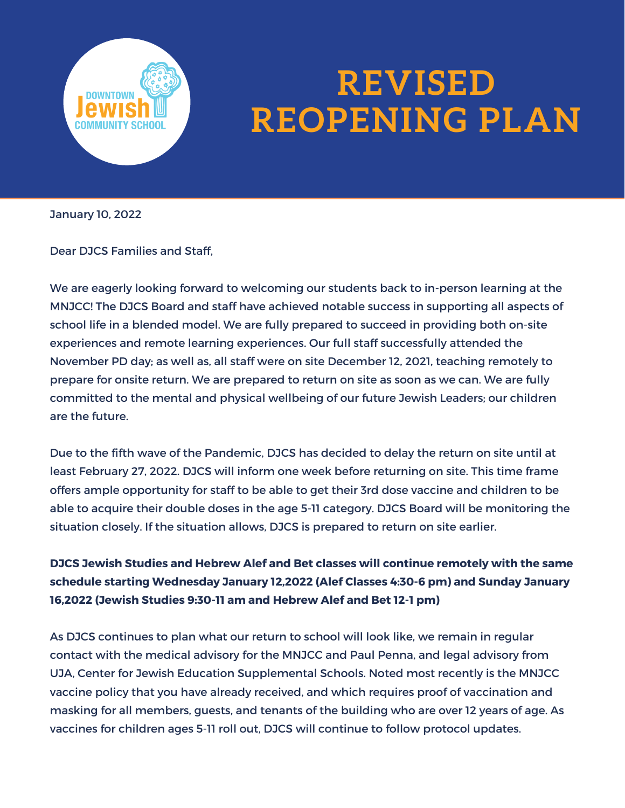

## **REVISED REOPENING PLAN**

January 10, 2022

Dear DJCS Families and Staff,

We are eagerly looking forward to welcoming our students back to in-person learning at the MNJCC! The DJCS Board and staff have achieved notable success in supporting all aspects of school life in a blended model. We are fully prepared to succeed in providing both on-site experiences and remote learning experiences. Our full staff successfully attended the November PD day; as well as, all staff were on site December 12, 2021, teaching remotely to prepare for onsite return. We are prepared to return on site as soon as we can. We are fully committed to the mental and physical wellbeing of our future Jewish Leaders; our children are the future.

Due to the fifth wave of the Pandemic, DJCS has decided to delay the return on site until at least February 27, 2022. DJCS will inform one week before returning on site. This time frame offers ample opportunity for staff to be able to get their 3rd dose vaccine and children to be able to acquire their double doses in the age 5-11 category. DJCS Board will be monitoring the situation closely. If the situation allows, DJCS is prepared to return on site earlier.

**DJCS Jewish Studies and Hebrew Alef and Bet classes will continue remotely with the same schedule starting Wednesday January 12,2022 (Alef Classes 4:30-6 pm) and Sunday January 16,2022 (Jewish Studies 9:30-11 am and Hebrew Alef and Bet 12-1 pm)**

As DJCS continues to plan what our return to school will look like, we remain in regular contact with the medical advisory for the MNJCC and Paul Penna, and legal advisory from UJA, Center for Jewish Education Supplemental Schools. Noted most recently is the MNJCC vaccine policy that you have already received, and which requires proof of vaccination and masking for all members, guests, and tenants of the building who are over 12 years of age. As vaccines for children ages 5-11 roll out, DJCS will continue to follow protocol updates.